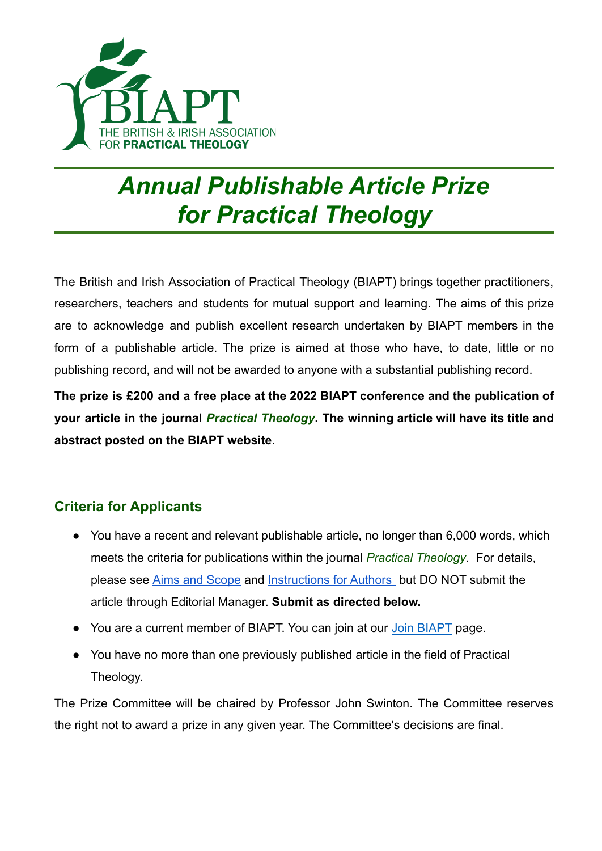

## *Annual Publishable Article Prize for Practical Theology*

The British and Irish Association of Practical Theology (BIAPT) brings together practitioners, researchers, teachers and students for mutual support and learning. The aims of this prize are to acknowledge and publish excellent research undertaken by BIAPT members in the form of a publishable article. The prize is aimed at those who have, to date, little or no publishing record, and will not be awarded to anyone with a substantial publishing record.

**The prize is £200 and a free place at the 2022 BIAPT conference and the publication of your article in the journal** *Practical [Theology](https://www.tandfonline.com/toc/yprt20/current)***. The winning article will have its title and abstract posted on the BIAPT website.**

## **Criteria for Applicants**

- You have a recent and relevant publishable article, no longer than 6,000 words, which meets the criteria for publications within the journal *Practical Theology*. For details, please see [Aims and Scope](https://www.tandfonline.com/action/journalInformation?show=aimsScope&journalCode=yprt20) and [Instructions for Authors](https://www.tandfonline.com/action/authorSubmission?journalCode=yprt20&page=instructions) but DO NOT submit the article through Editorial Manager. **Submit as directed below.**
- You are a current member of BIAPT. You can join at our [Join BIAPT](https://www.biapt.org/join/) page.
- You have no more than one previously published article in the field of Practical Theology.

The Prize Committee will be chaired by Professor John Swinton. The Committee reserves the right not to award a prize in any given year. The Committee's decisions are final.